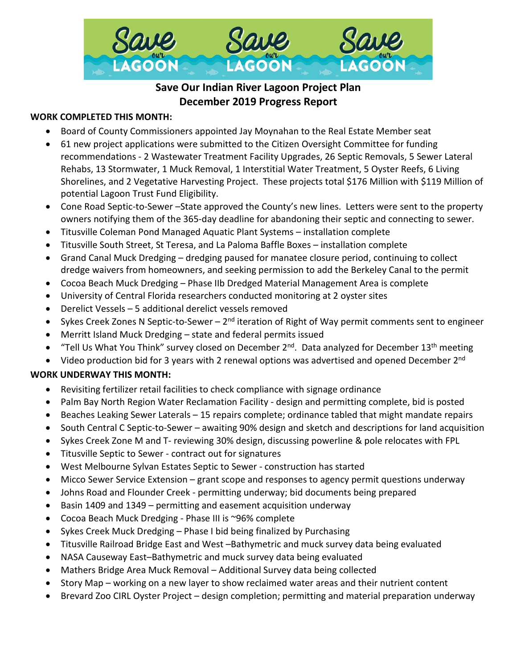

# **Save Our Indian River Lagoon Project Plan December 2019 Progress Report**

## **WORK COMPLETED THIS MONTH:**

- Board of County Commissioners appointed Jay Moynahan to the Real Estate Member seat
- 61 new project applications were submitted to the Citizen Oversight Committee for funding recommendations - 2 Wastewater Treatment Facility Upgrades, 26 Septic Removals, 5 Sewer Lateral Rehabs, 13 Stormwater, 1 Muck Removal, 1 Interstitial Water Treatment, 5 Oyster Reefs, 6 Living Shorelines, and 2 Vegetative Harvesting Project. These projects total \$176 Million with \$119 Million of potential Lagoon Trust Fund Eligibility.
- Cone Road Septic-to-Sewer –State approved the County's new lines. Letters were sent to the property owners notifying them of the 365-day deadline for abandoning their septic and connecting to sewer.
- Titusville Coleman Pond Managed Aquatic Plant Systems installation complete
- Titusville South Street, St Teresa, and La Paloma Baffle Boxes installation complete
- Grand Canal Muck Dredging dredging paused for manatee closure period, continuing to collect dredge waivers from homeowners, and seeking permission to add the Berkeley Canal to the permit
- Cocoa Beach Muck Dredging Phase IIb Dredged Material Management Area is complete
- University of Central Florida researchers conducted monitoring at 2 oyster sites
- Derelict Vessels 5 additional derelict vessels removed
- Sykes Creek Zones N Septic-to-Sewer  $2^{nd}$  iteration of Right of Way permit comments sent to engineer
- Merritt Island Muck Dredging state and federal permits issued
- "Tell Us What You Think" survey closed on December 2<sup>nd</sup>. Data analyzed for December 13<sup>th</sup> meeting

• Video production bid for 3 years with 2 renewal options was advertised and opened December 2<sup>nd</sup>

#### **WORK UNDERWAY THIS MONTH:**

- Revisiting fertilizer retail facilities to check compliance with signage ordinance
- Palm Bay North Region Water Reclamation Facility design and permitting complete, bid is posted
- Beaches Leaking Sewer Laterals 15 repairs complete; ordinance tabled that might mandate repairs
- South Central C Septic-to-Sewer awaiting 90% design and sketch and descriptions for land acquisition
- Sykes Creek Zone M and T- reviewing 30% design, discussing powerline & pole relocates with FPL
- Titusville Septic to Sewer contract out for signatures
- West Melbourne Sylvan Estates Septic to Sewer construction has started
- Micco Sewer Service Extension grant scope and responses to agency permit questions underway
- Johns Road and Flounder Creek permitting underway; bid documents being prepared
- Basin 1409 and 1349 permitting and easement acquisition underway
- Cocoa Beach Muck Dredging Phase III is ~96% complete
- Sykes Creek Muck Dredging Phase I bid being finalized by Purchasing
- Titusville Railroad Bridge East and West –Bathymetric and muck survey data being evaluated
- NASA Causeway East–Bathymetric and muck survey data being evaluated
- Mathers Bridge Area Muck Removal Additional Survey data being collected
- Story Map working on a new layer to show reclaimed water areas and their nutrient content
- Brevard Zoo CIRL Oyster Project design completion; permitting and material preparation underway